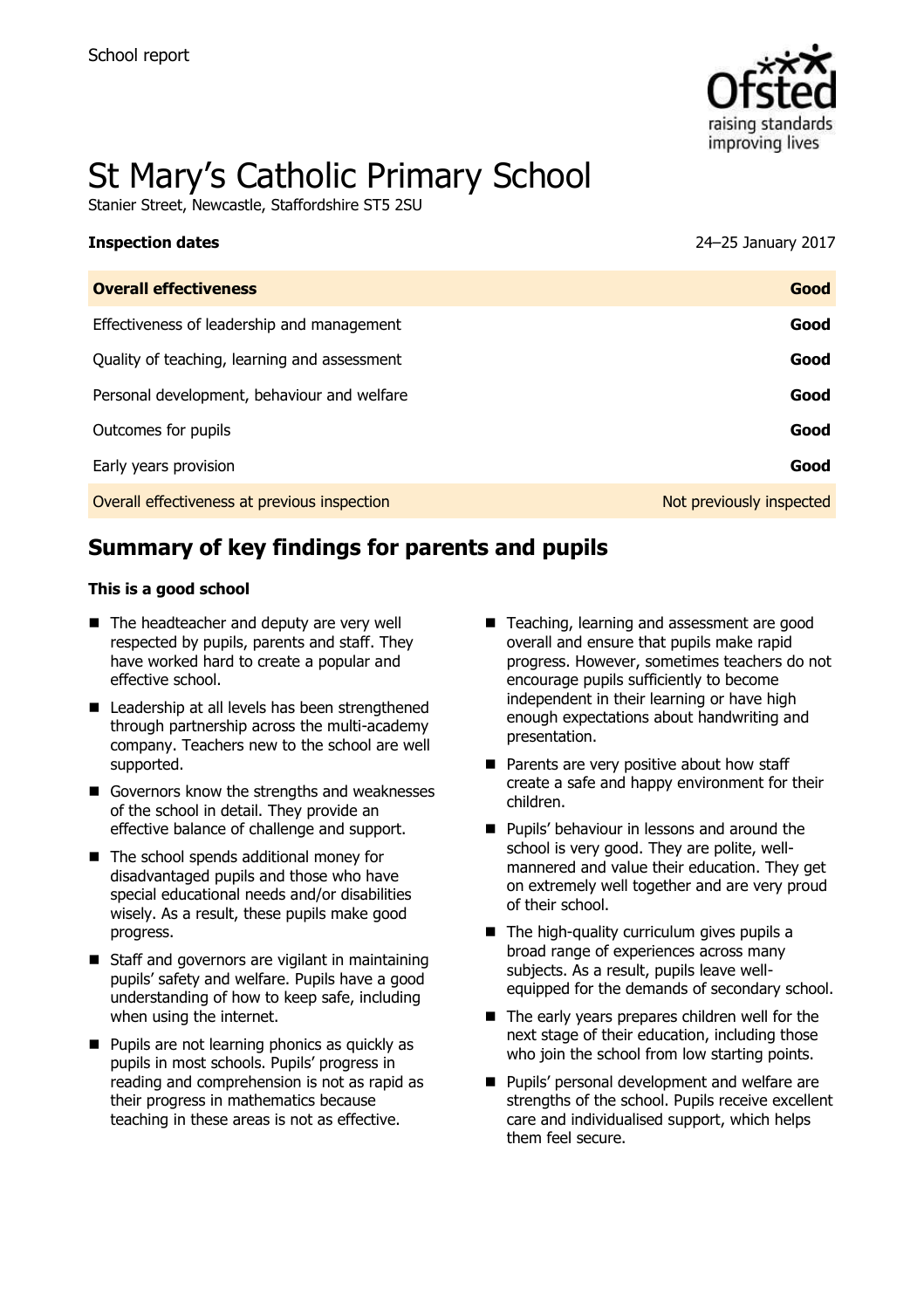

# St Mary's Catholic Primary School

Stanier Street, Newcastle, Staffordshire ST5 2SU

| 1119pcca911 aatc                             |                          |
|----------------------------------------------|--------------------------|
| <b>Overall effectiveness</b>                 | Good                     |
| Effectiveness of leadership and management   | Good                     |
| Quality of teaching, learning and assessment | Good                     |
| Personal development, behaviour and welfare  | Good                     |
| Outcomes for pupils                          | Good                     |
| Early years provision                        | Good                     |
| Overall effectiveness at previous inspection | Not previously inspected |

# **Summary of key findings for parents and pupils**

#### **This is a good school**

- The headteacher and deputy are very well respected by pupils, parents and staff. They have worked hard to create a popular and effective school.
- Leadership at all levels has been strengthened through partnership across the multi-academy company. Teachers new to the school are well supported.
- Governors know the strengths and weaknesses of the school in detail. They provide an effective balance of challenge and support.
- The school spends additional money for disadvantaged pupils and those who have special educational needs and/or disabilities wisely. As a result, these pupils make good progress.
- Staff and governors are vigilant in maintaining pupils' safety and welfare. Pupils have a good understanding of how to keep safe, including when using the internet.
- $\blacksquare$  Pupils are not learning phonics as quickly as pupils in most schools. Pupils' progress in reading and comprehension is not as rapid as their progress in mathematics because teaching in these areas is not as effective.
- Teaching, learning and assessment are good overall and ensure that pupils make rapid progress. However, sometimes teachers do not encourage pupils sufficiently to become independent in their learning or have high enough expectations about handwriting and presentation.
- Parents are very positive about how staff create a safe and happy environment for their children.
- **Pupils' behaviour in lessons and around the** school is very good. They are polite, wellmannered and value their education. They get on extremely well together and are very proud of their school.
- $\blacksquare$  The high-quality curriculum gives pupils a broad range of experiences across many subjects. As a result, pupils leave wellequipped for the demands of secondary school.
- $\blacksquare$  The early years prepares children well for the next stage of their education, including those who join the school from low starting points.
- **Pupils' personal development and welfare are** strengths of the school. Pupils receive excellent care and individualised support, which helps them feel secure.

**Inspection dates** 24–25 January 2017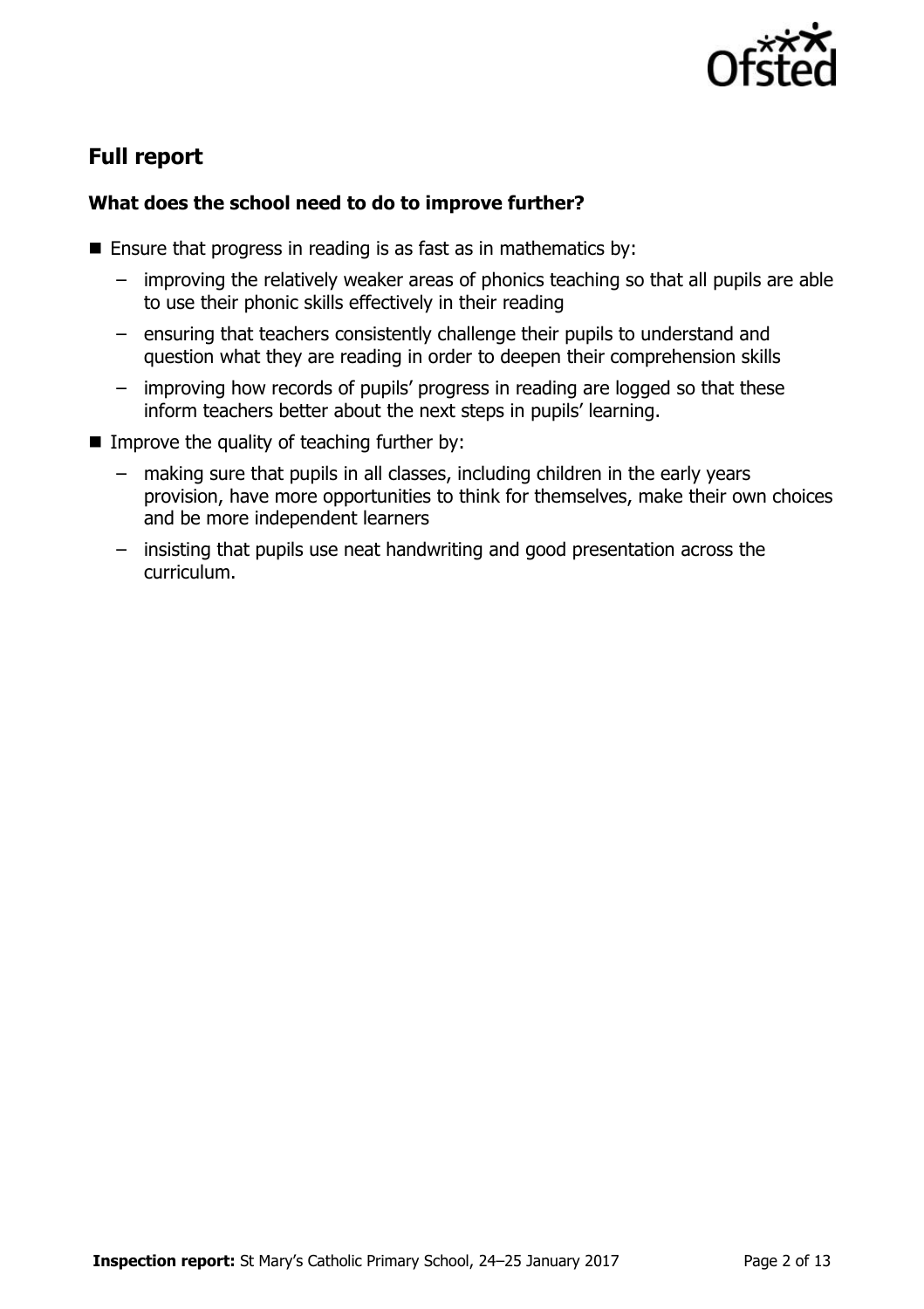

# **Full report**

### **What does the school need to do to improve further?**

- **Ensure that progress in reading is as fast as in mathematics by:** 
	- improving the relatively weaker areas of phonics teaching so that all pupils are able to use their phonic skills effectively in their reading
	- ensuring that teachers consistently challenge their pupils to understand and question what they are reading in order to deepen their comprehension skills
	- improving how records of pupils' progress in reading are logged so that these inform teachers better about the next steps in pupils' learning.
- $\blacksquare$  Improve the quality of teaching further by:
	- making sure that pupils in all classes, including children in the early years provision, have more opportunities to think for themselves, make their own choices and be more independent learners
	- insisting that pupils use neat handwriting and good presentation across the curriculum.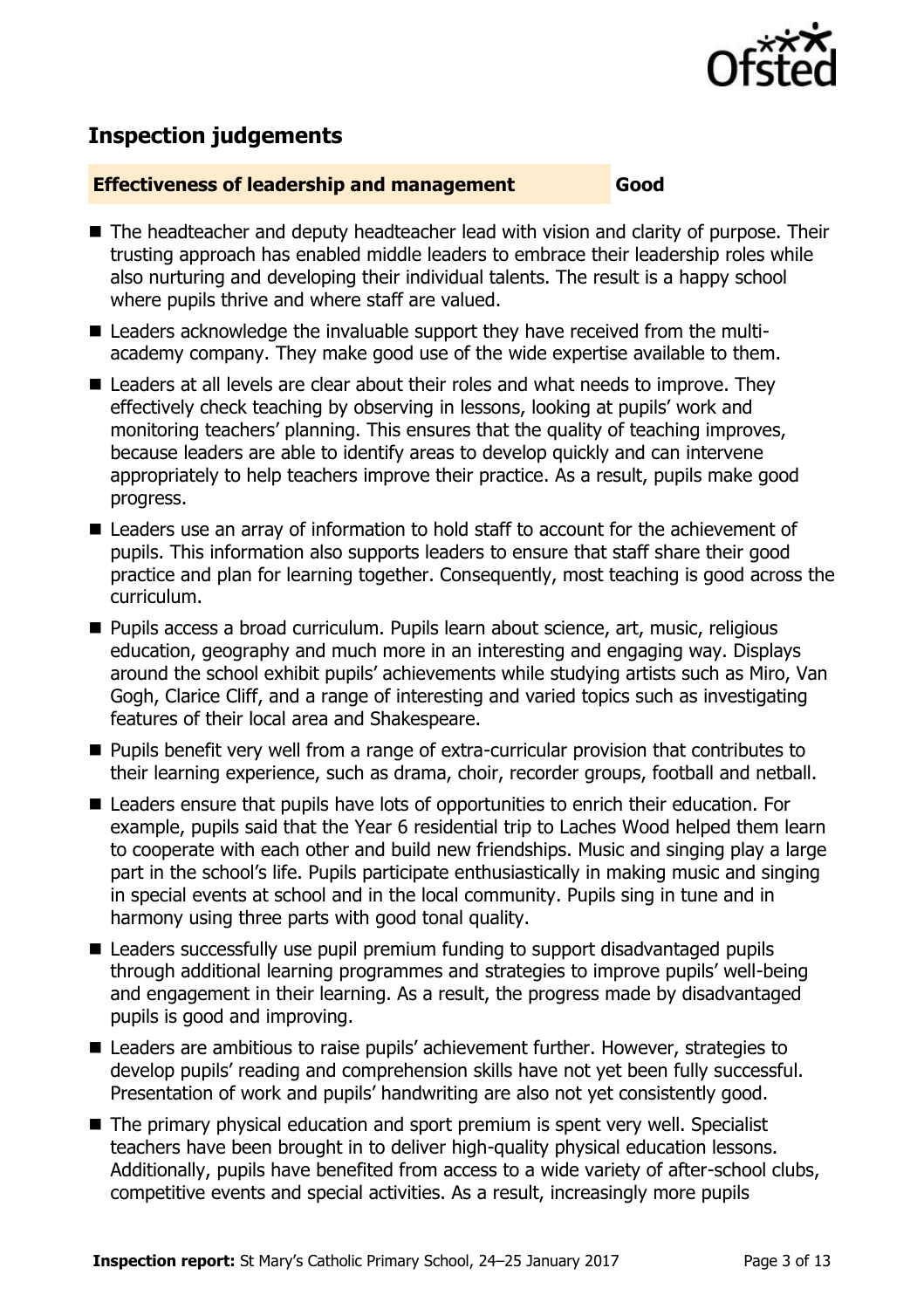

# **Inspection judgements**

#### **Effectiveness of leadership and management Good**

- The headteacher and deputy headteacher lead with vision and clarity of purpose. Their trusting approach has enabled middle leaders to embrace their leadership roles while also nurturing and developing their individual talents. The result is a happy school where pupils thrive and where staff are valued.
- Leaders acknowledge the invaluable support they have received from the multiacademy company. They make good use of the wide expertise available to them.
- Leaders at all levels are clear about their roles and what needs to improve. They effectively check teaching by observing in lessons, looking at pupils' work and monitoring teachers' planning. This ensures that the quality of teaching improves, because leaders are able to identify areas to develop quickly and can intervene appropriately to help teachers improve their practice. As a result, pupils make good progress.
- Leaders use an array of information to hold staff to account for the achievement of pupils. This information also supports leaders to ensure that staff share their good practice and plan for learning together. Consequently, most teaching is good across the curriculum.
- Pupils access a broad curriculum. Pupils learn about science, art, music, religious education, geography and much more in an interesting and engaging way. Displays around the school exhibit pupils' achievements while studying artists such as Miro, Van Gogh, Clarice Cliff, and a range of interesting and varied topics such as investigating features of their local area and Shakespeare.
- **Pupils benefit very well from a range of extra-curricular provision that contributes to** their learning experience, such as drama, choir, recorder groups, football and netball.
- Leaders ensure that pupils have lots of opportunities to enrich their education. For example, pupils said that the Year 6 residential trip to Laches Wood helped them learn to cooperate with each other and build new friendships. Music and singing play a large part in the school's life. Pupils participate enthusiastically in making music and singing in special events at school and in the local community. Pupils sing in tune and in harmony using three parts with good tonal quality.
- Leaders successfully use pupil premium funding to support disadvantaged pupils through additional learning programmes and strategies to improve pupils' well-being and engagement in their learning. As a result, the progress made by disadvantaged pupils is good and improving.
- Leaders are ambitious to raise pupils' achievement further. However, strategies to develop pupils' reading and comprehension skills have not yet been fully successful. Presentation of work and pupils' handwriting are also not yet consistently good.
- The primary physical education and sport premium is spent very well. Specialist teachers have been brought in to deliver high-quality physical education lessons. Additionally, pupils have benefited from access to a wide variety of after-school clubs, competitive events and special activities. As a result, increasingly more pupils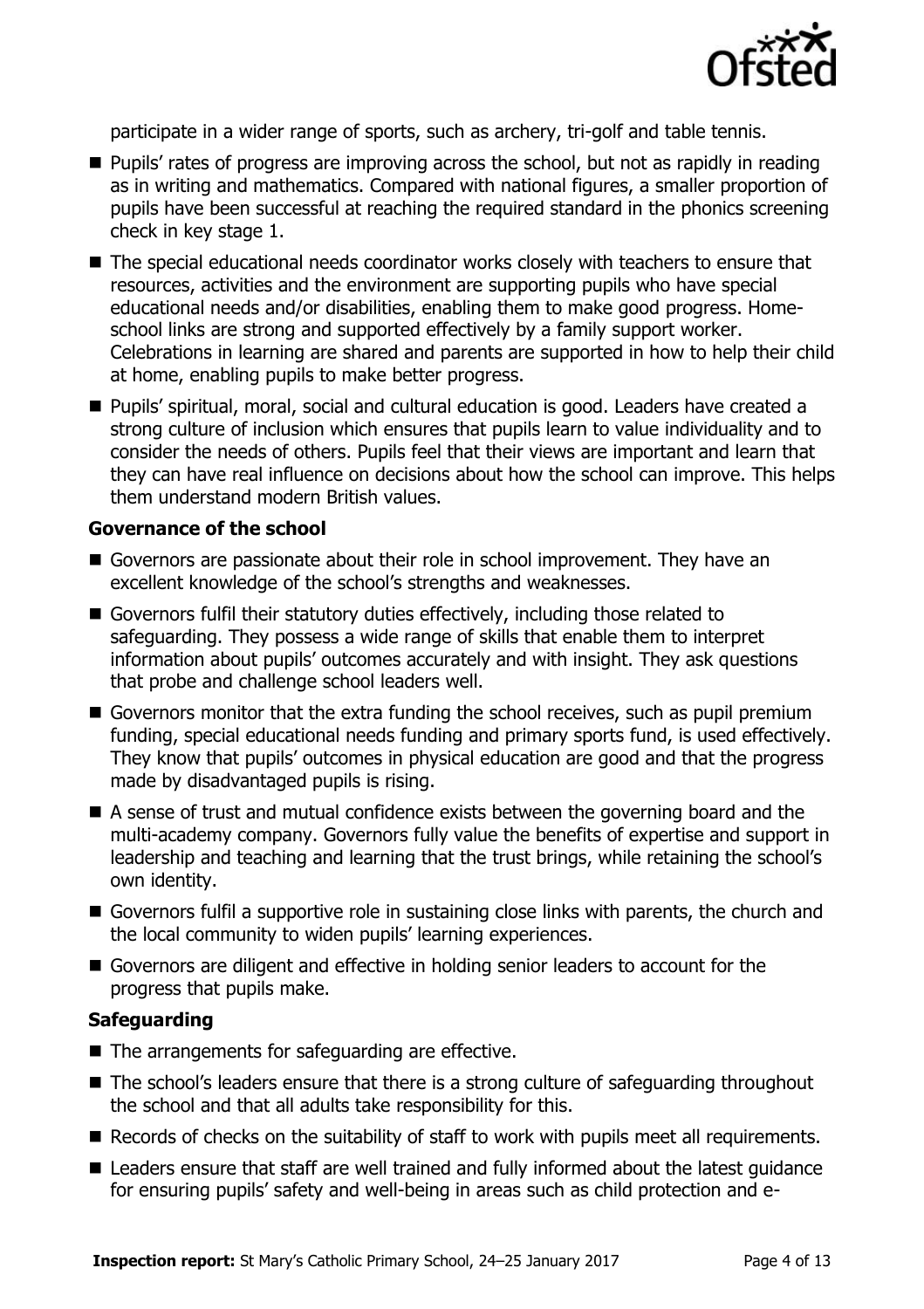

participate in a wider range of sports, such as archery, tri-golf and table tennis.

- **Pupils'** rates of progress are improving across the school, but not as rapidly in reading as in writing and mathematics. Compared with national figures, a smaller proportion of pupils have been successful at reaching the required standard in the phonics screening check in key stage 1.
- The special educational needs coordinator works closely with teachers to ensure that resources, activities and the environment are supporting pupils who have special educational needs and/or disabilities, enabling them to make good progress. Homeschool links are strong and supported effectively by a family support worker. Celebrations in learning are shared and parents are supported in how to help their child at home, enabling pupils to make better progress.
- Pupils' spiritual, moral, social and cultural education is good. Leaders have created a strong culture of inclusion which ensures that pupils learn to value individuality and to consider the needs of others. Pupils feel that their views are important and learn that they can have real influence on decisions about how the school can improve. This helps them understand modern British values.

#### **Governance of the school**

- Governors are passionate about their role in school improvement. They have an excellent knowledge of the school's strengths and weaknesses.
- Governors fulfil their statutory duties effectively, including those related to safeguarding. They possess a wide range of skills that enable them to interpret information about pupils' outcomes accurately and with insight. They ask questions that probe and challenge school leaders well.
- Governors monitor that the extra funding the school receives, such as pupil premium funding, special educational needs funding and primary sports fund, is used effectively. They know that pupils' outcomes in physical education are good and that the progress made by disadvantaged pupils is rising.
- A sense of trust and mutual confidence exists between the governing board and the multi-academy company. Governors fully value the benefits of expertise and support in leadership and teaching and learning that the trust brings, while retaining the school's own identity.
- Governors fulfil a supportive role in sustaining close links with parents, the church and the local community to widen pupils' learning experiences.
- Governors are diligent and effective in holding senior leaders to account for the progress that pupils make.

#### **Safeguarding**

- The arrangements for safeguarding are effective.
- The school's leaders ensure that there is a strong culture of safeguarding throughout the school and that all adults take responsibility for this.
- Records of checks on the suitability of staff to work with pupils meet all requirements.
- Leaders ensure that staff are well trained and fully informed about the latest quidance for ensuring pupils' safety and well-being in areas such as child protection and e-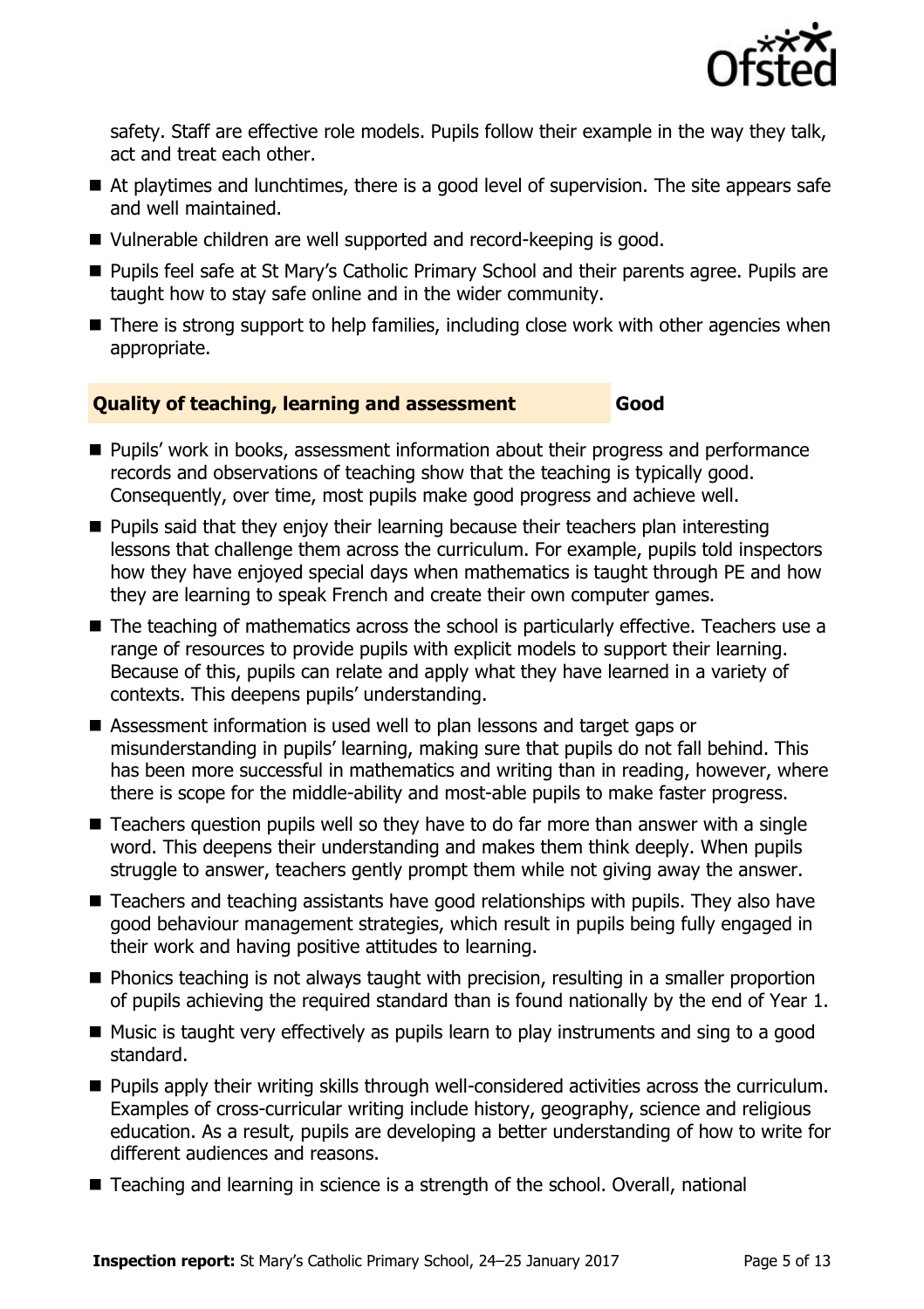

safety. Staff are effective role models. Pupils follow their example in the way they talk, act and treat each other.

- At playtimes and lunchtimes, there is a good level of supervision. The site appears safe and well maintained.
- Vulnerable children are well supported and record-keeping is good.
- Pupils feel safe at St Mary's Catholic Primary School and their parents agree. Pupils are taught how to stay safe online and in the wider community.
- There is strong support to help families, including close work with other agencies when appropriate.

### **Quality of teaching, learning and assessment Good**

- **Pupils' work in books, assessment information about their progress and performance** records and observations of teaching show that the teaching is typically good. Consequently, over time, most pupils make good progress and achieve well.
- **Pupils said that they enjoy their learning because their teachers plan interesting** lessons that challenge them across the curriculum. For example, pupils told inspectors how they have enjoyed special days when mathematics is taught through PE and how they are learning to speak French and create their own computer games.
- The teaching of mathematics across the school is particularly effective. Teachers use a range of resources to provide pupils with explicit models to support their learning. Because of this, pupils can relate and apply what they have learned in a variety of contexts. This deepens pupils' understanding.
- Assessment information is used well to plan lessons and target gaps or misunderstanding in pupils' learning, making sure that pupils do not fall behind. This has been more successful in mathematics and writing than in reading, however, where there is scope for the middle-ability and most-able pupils to make faster progress.
- Teachers question pupils well so they have to do far more than answer with a single word. This deepens their understanding and makes them think deeply. When pupils struggle to answer, teachers gently prompt them while not giving away the answer.
- Teachers and teaching assistants have good relationships with pupils. They also have good behaviour management strategies, which result in pupils being fully engaged in their work and having positive attitudes to learning.
- **Phonics teaching is not always taught with precision, resulting in a smaller proportion** of pupils achieving the required standard than is found nationally by the end of Year 1.
- $\blacksquare$  Music is taught very effectively as pupils learn to play instruments and sing to a good standard.
- **Pupils apply their writing skills through well-considered activities across the curriculum.** Examples of cross-curricular writing include history, geography, science and religious education. As a result, pupils are developing a better understanding of how to write for different audiences and reasons.
- Teaching and learning in science is a strength of the school. Overall, national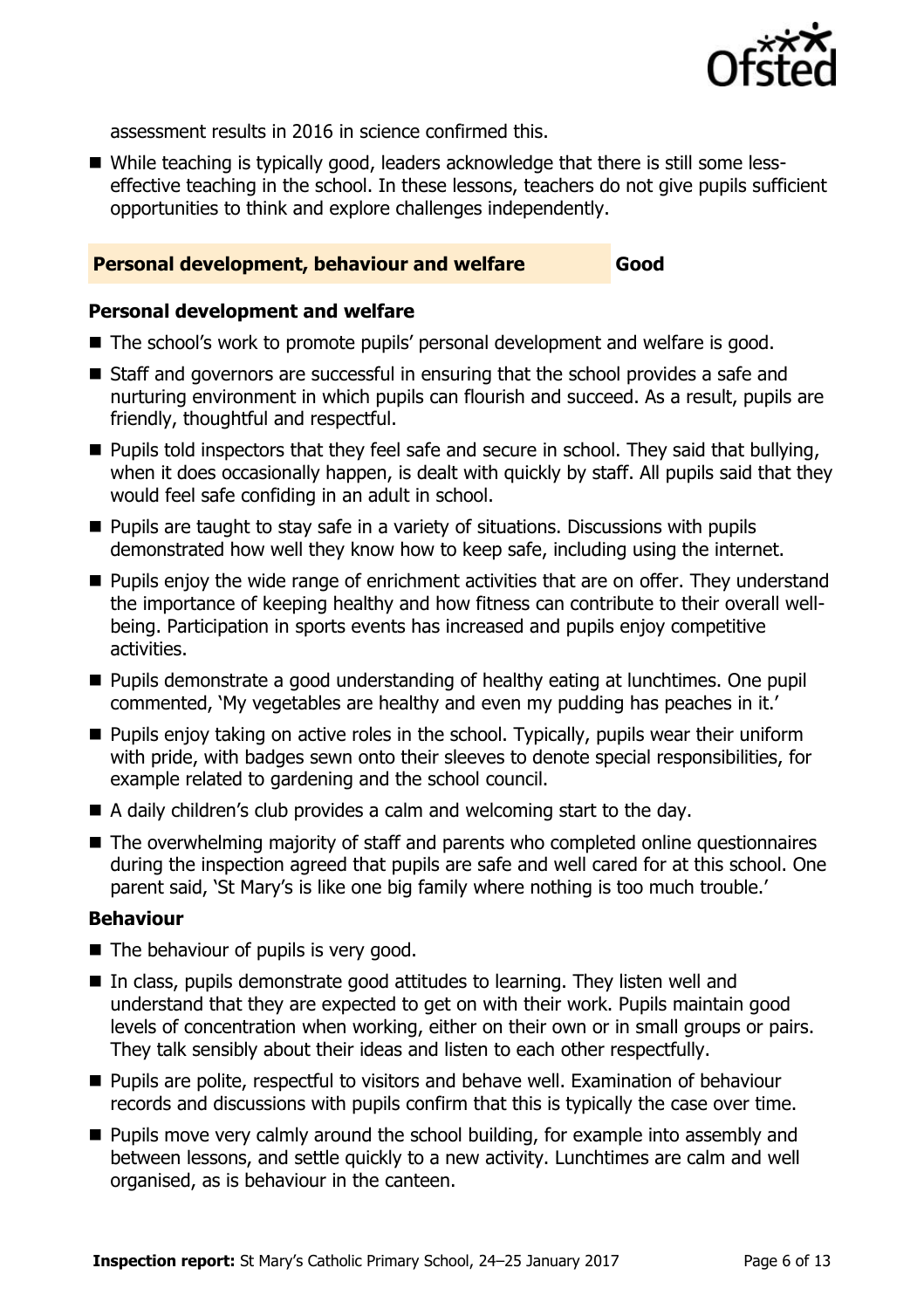

assessment results in 2016 in science confirmed this.

 While teaching is typically good, leaders acknowledge that there is still some lesseffective teaching in the school. In these lessons, teachers do not give pupils sufficient opportunities to think and explore challenges independently.

#### **Personal development, behaviour and welfare Good**

#### **Personal development and welfare**

- The school's work to promote pupils' personal development and welfare is good.
- Staff and governors are successful in ensuring that the school provides a safe and nurturing environment in which pupils can flourish and succeed. As a result, pupils are friendly, thoughtful and respectful.
- $\blacksquare$  Pupils told inspectors that they feel safe and secure in school. They said that bullying, when it does occasionally happen, is dealt with quickly by staff. All pupils said that they would feel safe confiding in an adult in school.
- $\blacksquare$  Pupils are taught to stay safe in a variety of situations. Discussions with pupils demonstrated how well they know how to keep safe, including using the internet.
- **Pupils enjoy the wide range of enrichment activities that are on offer. They understand** the importance of keeping healthy and how fitness can contribute to their overall wellbeing. Participation in sports events has increased and pupils enjoy competitive activities.
- **Pupils demonstrate a good understanding of healthy eating at lunchtimes. One pupil** commented, 'My vegetables are healthy and even my pudding has peaches in it.'
- **Pupils enjoy taking on active roles in the school. Typically, pupils wear their uniform** with pride, with badges sewn onto their sleeves to denote special responsibilities, for example related to gardening and the school council.
- A daily children's club provides a calm and welcoming start to the day.
- The overwhelming majority of staff and parents who completed online questionnaires during the inspection agreed that pupils are safe and well cared for at this school. One parent said, 'St Mary's is like one big family where nothing is too much trouble.'

#### **Behaviour**

- The behaviour of pupils is very good.
- In class, pupils demonstrate good attitudes to learning. They listen well and understand that they are expected to get on with their work. Pupils maintain good levels of concentration when working, either on their own or in small groups or pairs. They talk sensibly about their ideas and listen to each other respectfully.
- **Pupils are polite, respectful to visitors and behave well. Examination of behaviour** records and discussions with pupils confirm that this is typically the case over time.
- **Pupils move very calmly around the school building, for example into assembly and** between lessons, and settle quickly to a new activity. Lunchtimes are calm and well organised, as is behaviour in the canteen.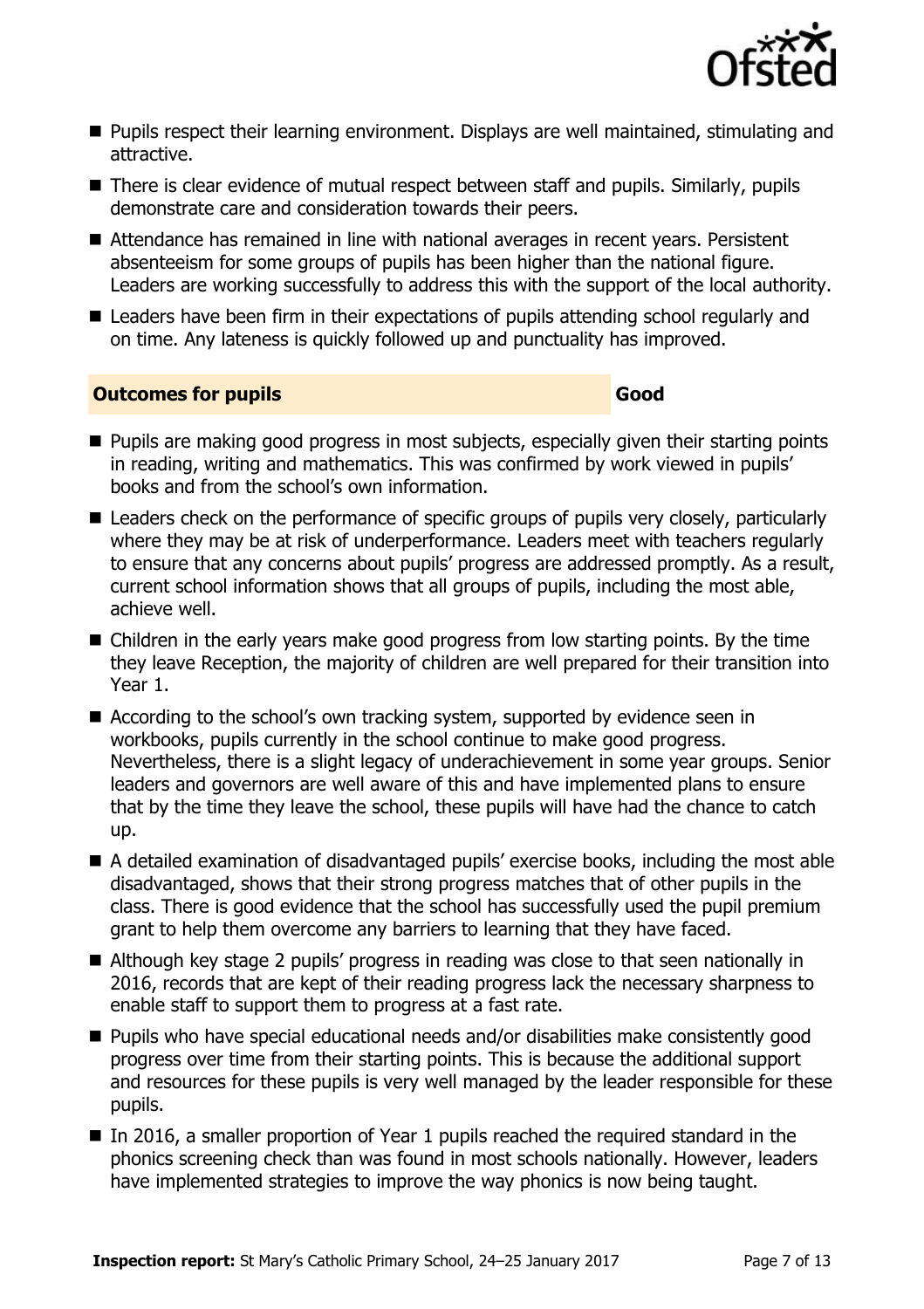

- **Pupils respect their learning environment. Displays are well maintained, stimulating and** attractive.
- There is clear evidence of mutual respect between staff and pupils. Similarly, pupils demonstrate care and consideration towards their peers.
- Attendance has remained in line with national averages in recent years. Persistent absenteeism for some groups of pupils has been higher than the national figure. Leaders are working successfully to address this with the support of the local authority.
- Leaders have been firm in their expectations of pupils attending school regularly and on time. Any lateness is quickly followed up and punctuality has improved.

#### **Outcomes for pupils Good**

- **Pupils are making good progress in most subjects, especially given their starting points** in reading, writing and mathematics. This was confirmed by work viewed in pupils' books and from the school's own information.
- Leaders check on the performance of specific groups of pupils very closely, particularly where they may be at risk of underperformance. Leaders meet with teachers regularly to ensure that any concerns about pupils' progress are addressed promptly. As a result, current school information shows that all groups of pupils, including the most able, achieve well.
- Children in the early years make good progress from low starting points. By the time they leave Reception, the majority of children are well prepared for their transition into Year 1.
- According to the school's own tracking system, supported by evidence seen in workbooks, pupils currently in the school continue to make good progress. Nevertheless, there is a slight legacy of underachievement in some year groups. Senior leaders and governors are well aware of this and have implemented plans to ensure that by the time they leave the school, these pupils will have had the chance to catch up.
- A detailed examination of disadvantaged pupils' exercise books, including the most able disadvantaged, shows that their strong progress matches that of other pupils in the class. There is good evidence that the school has successfully used the pupil premium grant to help them overcome any barriers to learning that they have faced.
- Although key stage 2 pupils' progress in reading was close to that seen nationally in 2016, records that are kept of their reading progress lack the necessary sharpness to enable staff to support them to progress at a fast rate.
- Pupils who have special educational needs and/or disabilities make consistently good progress over time from their starting points. This is because the additional support and resources for these pupils is very well managed by the leader responsible for these pupils.
- In 2016, a smaller proportion of Year 1 pupils reached the required standard in the phonics screening check than was found in most schools nationally. However, leaders have implemented strategies to improve the way phonics is now being taught.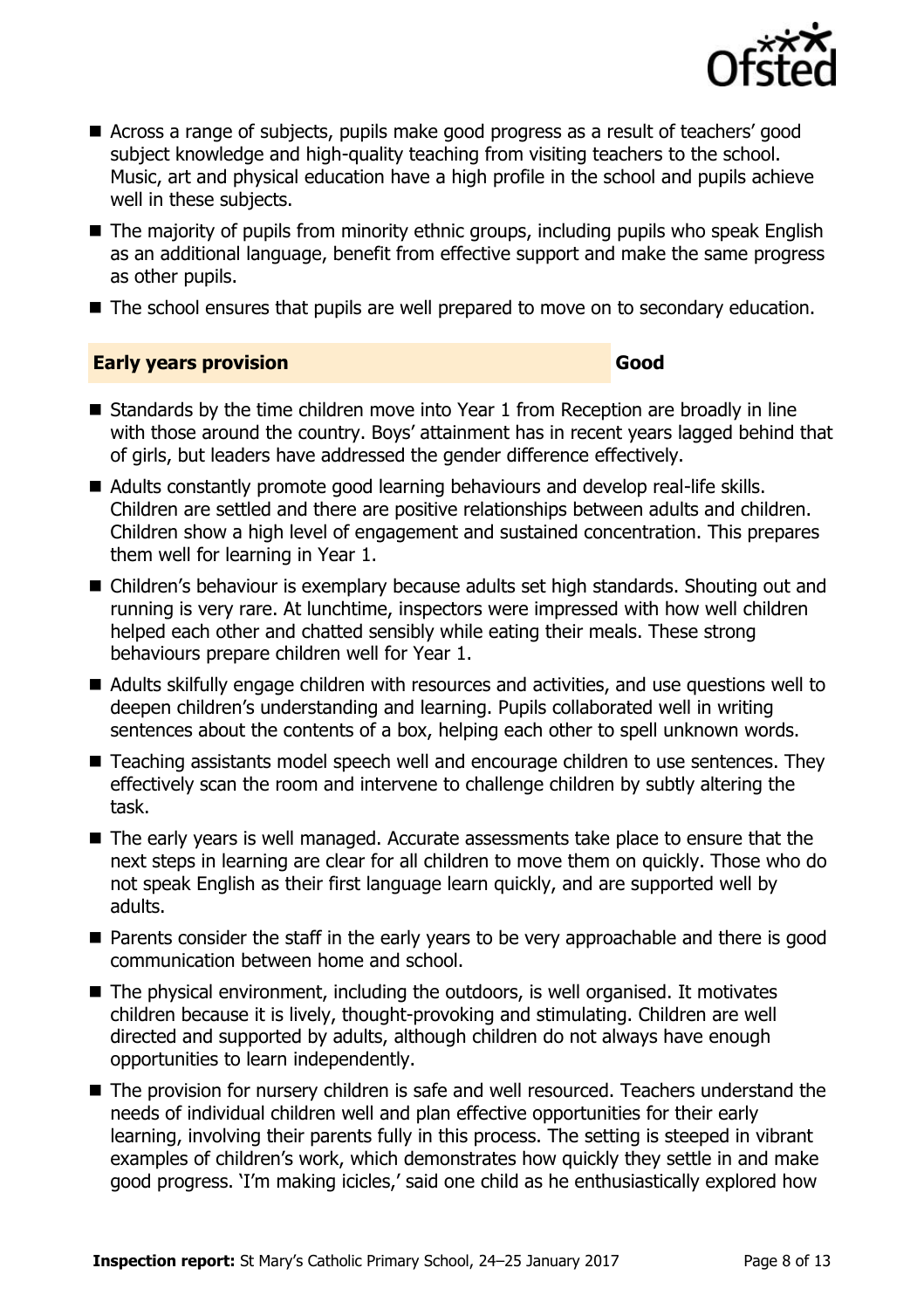

- Across a range of subjects, pupils make good progress as a result of teachers' good subject knowledge and high-quality teaching from visiting teachers to the school. Music, art and physical education have a high profile in the school and pupils achieve well in these subjects.
- The majority of pupils from minority ethnic groups, including pupils who speak English as an additional language, benefit from effective support and make the same progress as other pupils.
- The school ensures that pupils are well prepared to move on to secondary education.

#### **Early years provision Good Good**

- Standards by the time children move into Year 1 from Reception are broadly in line with those around the country. Boys' attainment has in recent years lagged behind that of girls, but leaders have addressed the gender difference effectively.
- Adults constantly promote good learning behaviours and develop real-life skills. Children are settled and there are positive relationships between adults and children. Children show a high level of engagement and sustained concentration. This prepares them well for learning in Year 1.
- Children's behaviour is exemplary because adults set high standards. Shouting out and running is very rare. At lunchtime, inspectors were impressed with how well children helped each other and chatted sensibly while eating their meals. These strong behaviours prepare children well for Year 1.
- Adults skilfully engage children with resources and activities, and use questions well to deepen children's understanding and learning. Pupils collaborated well in writing sentences about the contents of a box, helping each other to spell unknown words.
- Teaching assistants model speech well and encourage children to use sentences. They effectively scan the room and intervene to challenge children by subtly altering the task.
- The early years is well managed. Accurate assessments take place to ensure that the next steps in learning are clear for all children to move them on quickly. Those who do not speak English as their first language learn quickly, and are supported well by adults.
- **Parents consider the staff in the early years to be very approachable and there is good** communication between home and school.
- The physical environment, including the outdoors, is well organised. It motivates children because it is lively, thought-provoking and stimulating. Children are well directed and supported by adults, although children do not always have enough opportunities to learn independently.
- The provision for nursery children is safe and well resourced. Teachers understand the needs of individual children well and plan effective opportunities for their early learning, involving their parents fully in this process. The setting is steeped in vibrant examples of children's work, which demonstrates how quickly they settle in and make good progress. 'I'm making icicles,' said one child as he enthusiastically explored how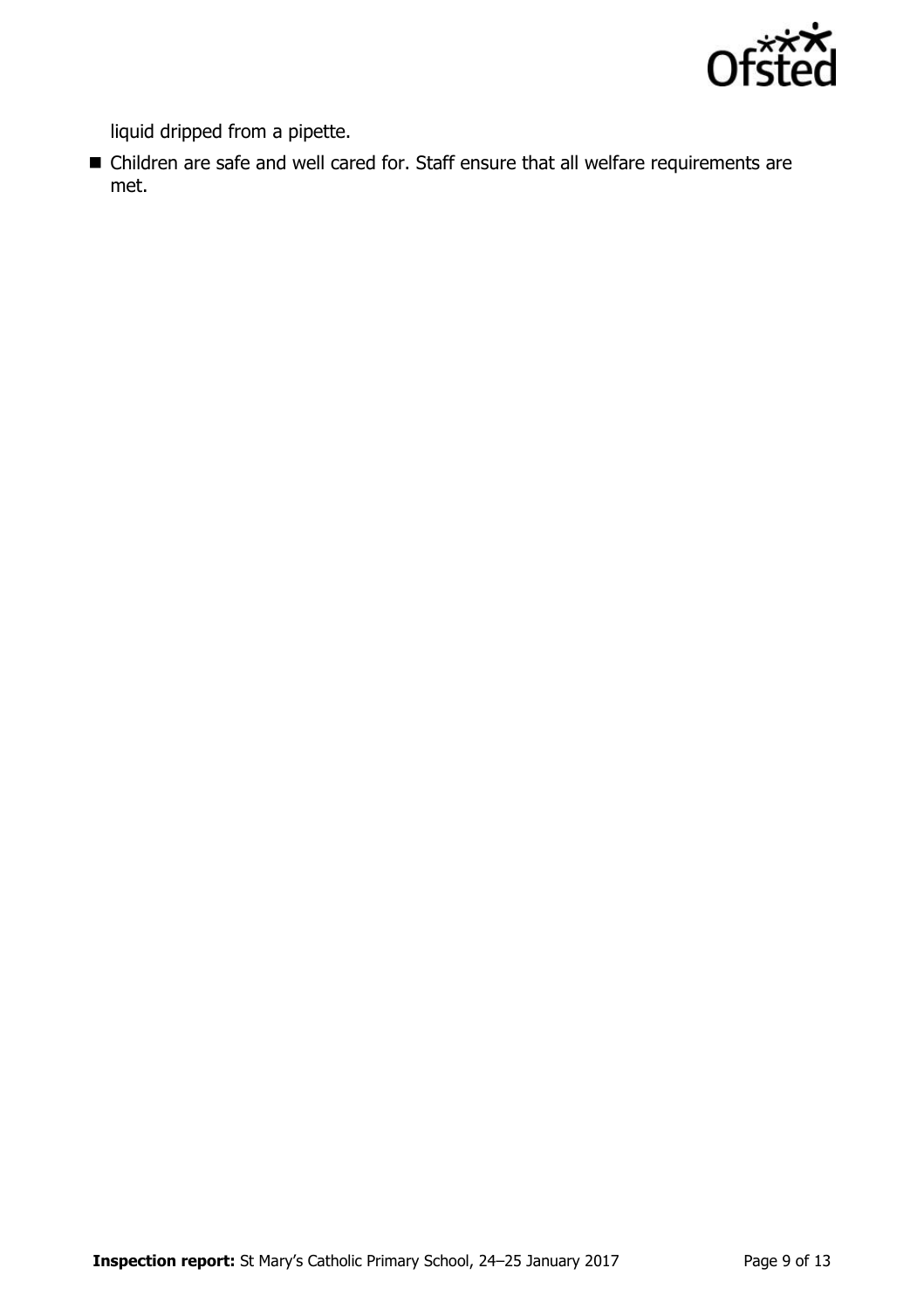

liquid dripped from a pipette.

 Children are safe and well cared for. Staff ensure that all welfare requirements are met.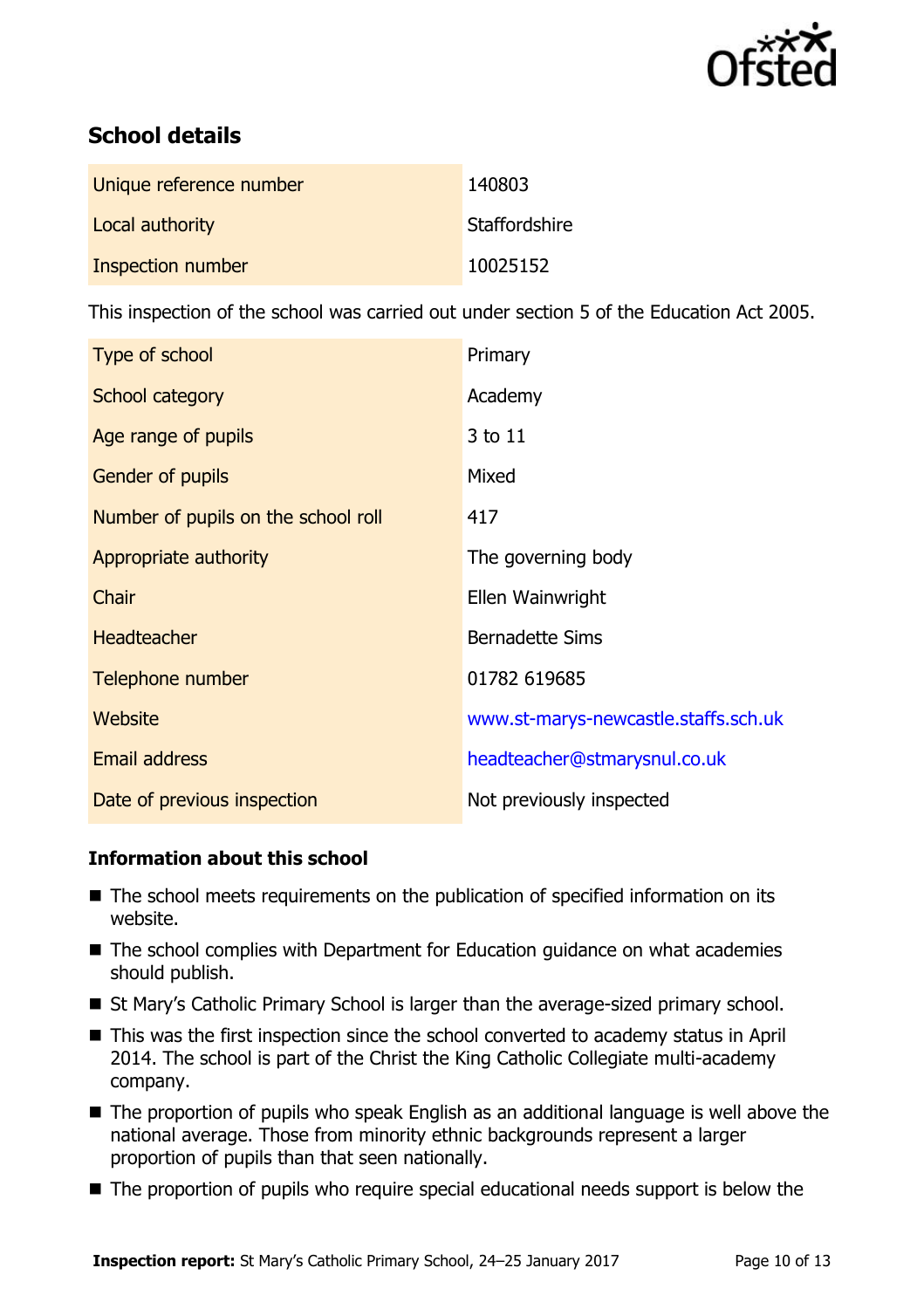

# **School details**

| Unique reference number | 140803        |
|-------------------------|---------------|
| Local authority         | Staffordshire |
| Inspection number       | 10025152      |

This inspection of the school was carried out under section 5 of the Education Act 2005.

| Type of school                      | Primary                              |
|-------------------------------------|--------------------------------------|
| School category                     | Academy                              |
| Age range of pupils                 | 3 to 11                              |
| Gender of pupils                    | Mixed                                |
| Number of pupils on the school roll | 417                                  |
| Appropriate authority               | The governing body                   |
| Chair                               | Ellen Wainwright                     |
| <b>Headteacher</b>                  | <b>Bernadette Sims</b>               |
| Telephone number                    | 01782 619685                         |
| <b>Website</b>                      | www.st-marys-newcastle.staffs.sch.uk |
| <b>Email address</b>                | headteacher@stmarysnul.co.uk         |
| Date of previous inspection         | Not previously inspected             |

#### **Information about this school**

- The school meets requirements on the publication of specified information on its website.
- The school complies with Department for Education guidance on what academies should publish.
- St Mary's Catholic Primary School is larger than the average-sized primary school.
- This was the first inspection since the school converted to academy status in April 2014. The school is part of the Christ the King Catholic Collegiate multi-academy company.
- The proportion of pupils who speak English as an additional language is well above the national average. Those from minority ethnic backgrounds represent a larger proportion of pupils than that seen nationally.
- The proportion of pupils who require special educational needs support is below the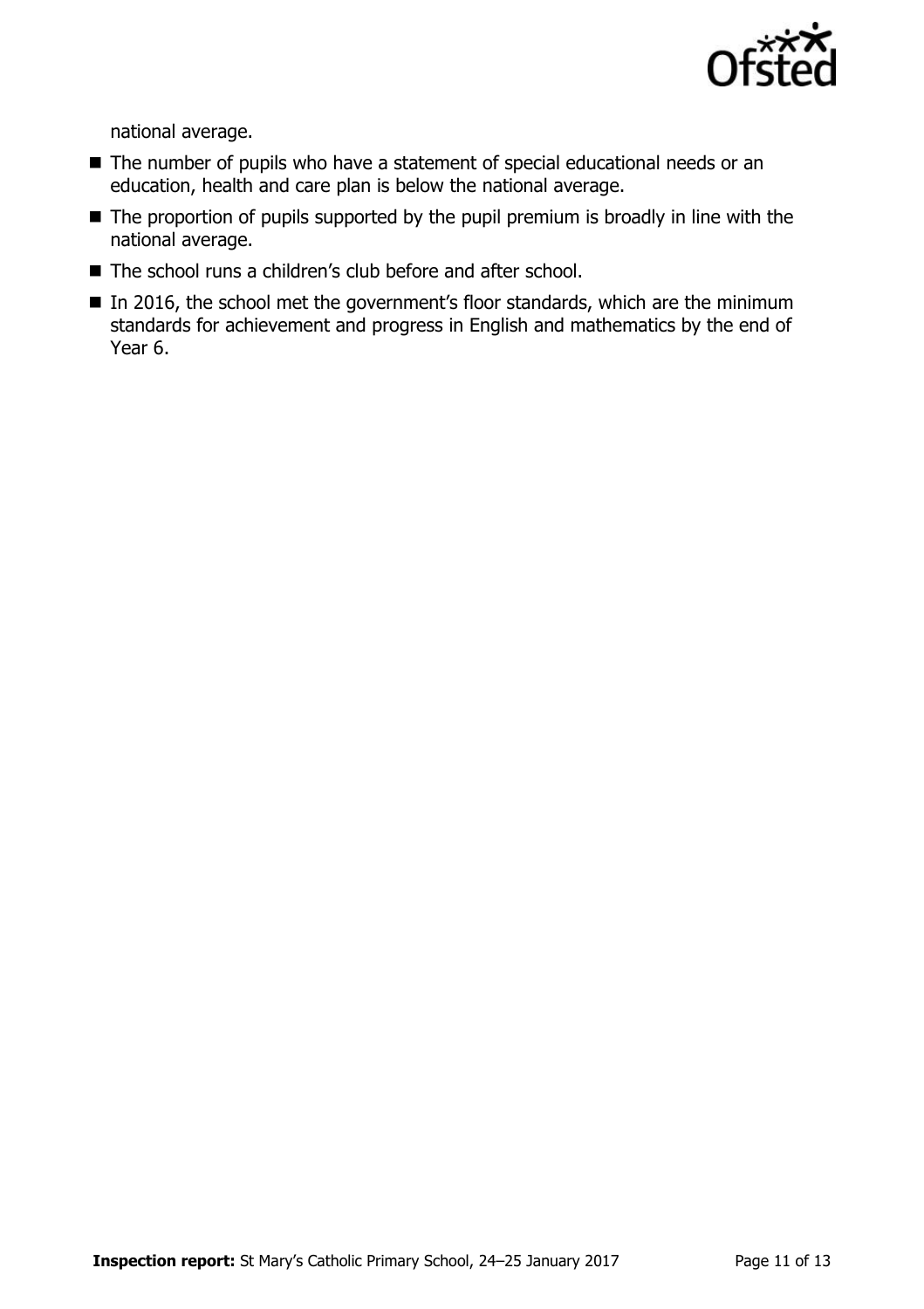

national average.

- The number of pupils who have a statement of special educational needs or an education, health and care plan is below the national average.
- The proportion of pupils supported by the pupil premium is broadly in line with the national average.
- The school runs a children's club before and after school.
- In 2016, the school met the government's floor standards, which are the minimum standards for achievement and progress in English and mathematics by the end of Year 6.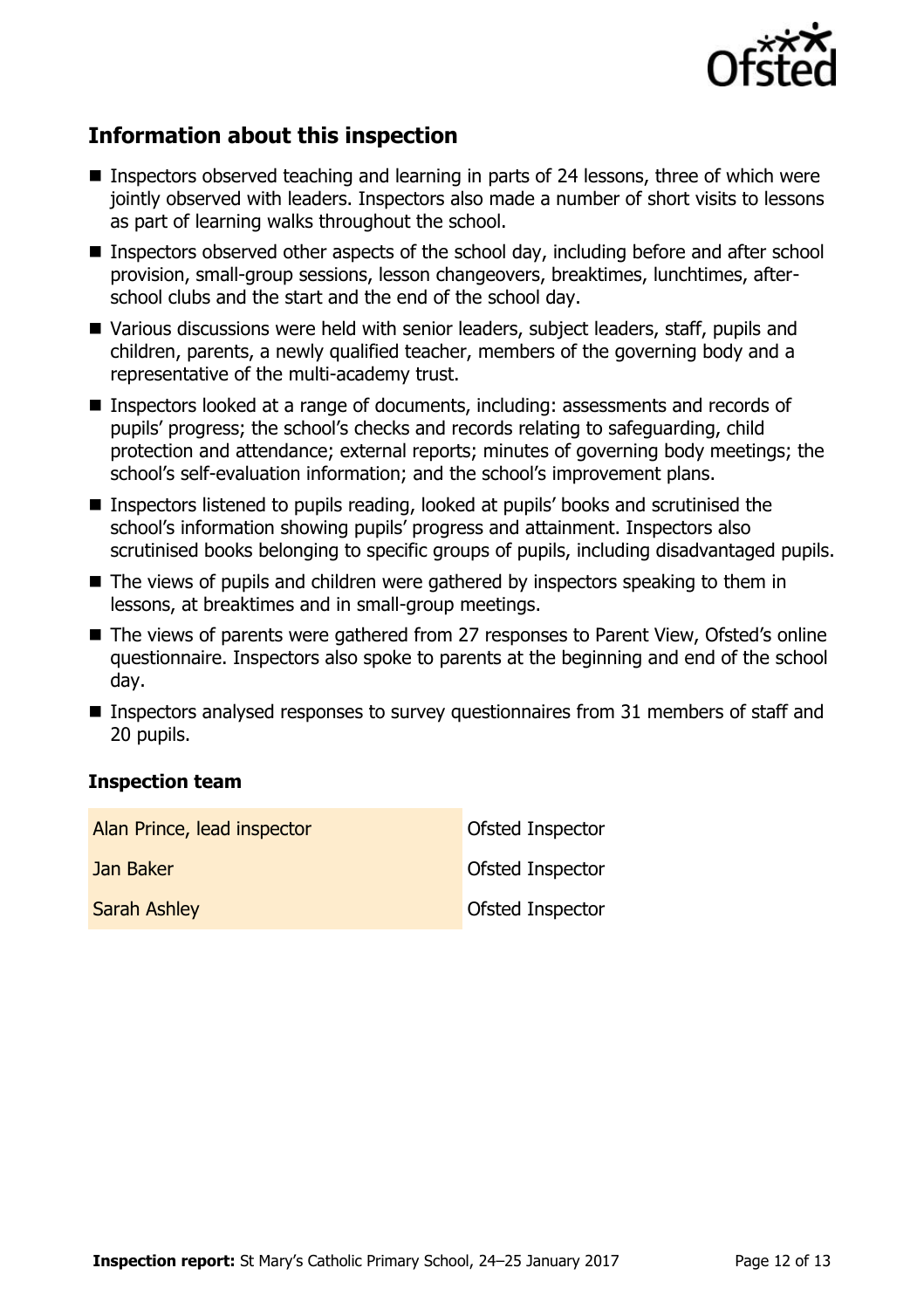

# **Information about this inspection**

- Inspectors observed teaching and learning in parts of 24 lessons, three of which were jointly observed with leaders. Inspectors also made a number of short visits to lessons as part of learning walks throughout the school.
- **Inspectors observed other aspects of the school day, including before and after school** provision, small-group sessions, lesson changeovers, breaktimes, lunchtimes, afterschool clubs and the start and the end of the school day.
- Various discussions were held with senior leaders, subject leaders, staff, pupils and children, parents, a newly qualified teacher, members of the governing body and a representative of the multi-academy trust.
- Inspectors looked at a range of documents, including: assessments and records of pupils' progress; the school's checks and records relating to safeguarding, child protection and attendance; external reports; minutes of governing body meetings; the school's self-evaluation information; and the school's improvement plans.
- Inspectors listened to pupils reading, looked at pupils' books and scrutinised the school's information showing pupils' progress and attainment. Inspectors also scrutinised books belonging to specific groups of pupils, including disadvantaged pupils.
- The views of pupils and children were gathered by inspectors speaking to them in lessons, at breaktimes and in small-group meetings.
- The views of parents were gathered from 27 responses to Parent View, Ofsted's online questionnaire. Inspectors also spoke to parents at the beginning and end of the school day.
- Inspectors analysed responses to survey questionnaires from 31 members of staff and 20 pupils.

#### **Inspection team**

| Alan Prince, lead inspector | Ofsted Inspector |
|-----------------------------|------------------|
| Jan Baker                   | Ofsted Inspector |
| <b>Sarah Ashley</b>         | Ofsted Inspector |